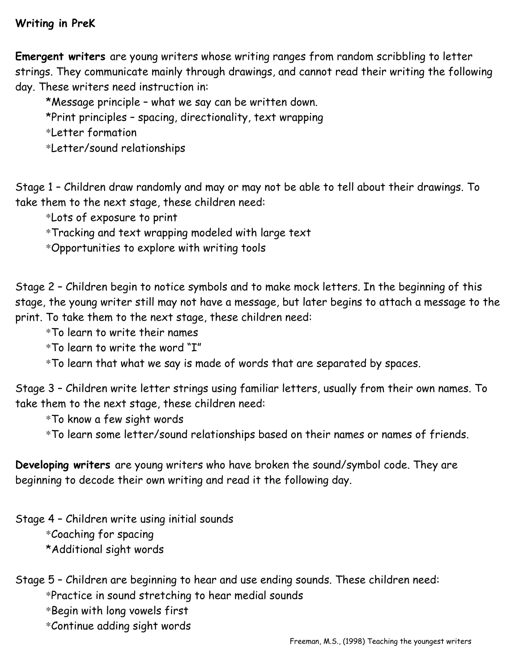## **Writing in PreK**

**Emergent writers** are young writers whose writing ranges from random scribbling to letter strings. They communicate mainly through drawings, and cannot read their writing the following day. These writers need instruction in:

 \*Message principle – what we say can be written down. \*Print principles – spacing, directionality, text wrapping \*Letter formation

\*Letter/sound relationships

Stage 1 – Children draw randomly and may or may not be able to tell about their drawings. To take them to the next stage, these children need:

\*Lots of exposure to print

\*Tracking and text wrapping modeled with large text

\*Opportunities to explore with writing tools

Stage 2 – Children begin to notice symbols and to make mock letters. In the beginning of this stage, the young writer still may not have a message, but later begins to attach a message to the print. To take them to the next stage, these children need:

\*To learn to write their names

\*To learn to write the word "I"

\*To learn that what we say is made of words that are separated by spaces.

Stage 3 – Children write letter strings using familiar letters, usually from their own names. To take them to the next stage, these children need:

\*To know a few sight words

\*To learn some letter/sound relationships based on their names or names of friends.

**Developing writers** are young writers who have broken the sound/symbol code. They are beginning to decode their own writing and read it the following day.

Stage 4 – Children write using initial sounds

\*Coaching for spacing

\*Additional sight words

Stage 5 – Children are beginning to hear and use ending sounds. These children need: \*Practice in sound stretching to hear medial sounds

\*Begin with long vowels first

\*Continue adding sight words